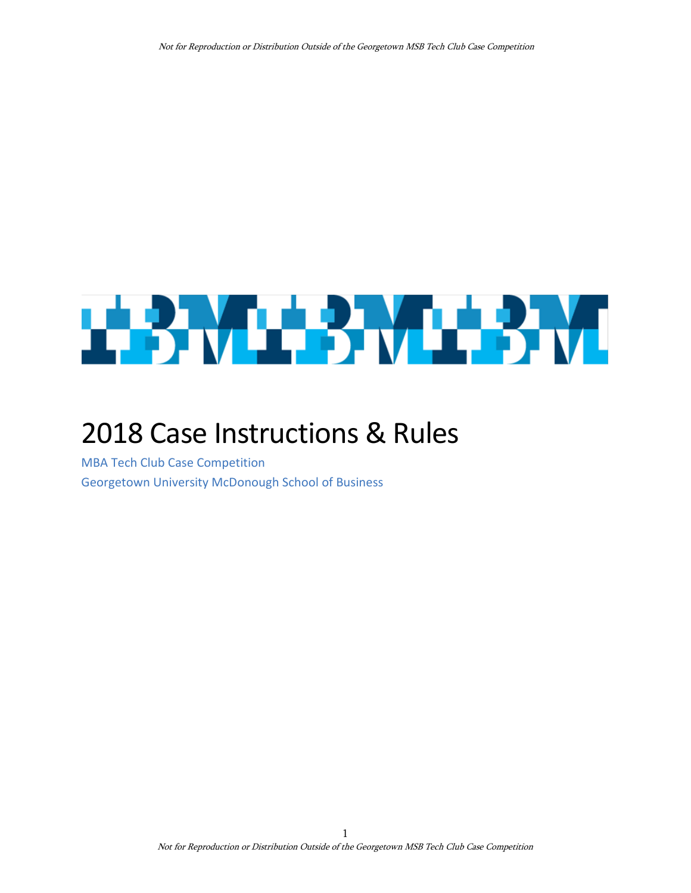# **THE REPORT OF STATE**

# 2018 Case Instructions & Rules

<span id="page-0-1"></span><span id="page-0-0"></span>MBA Tech Club Case Competition Georgetown University McDonough School of Business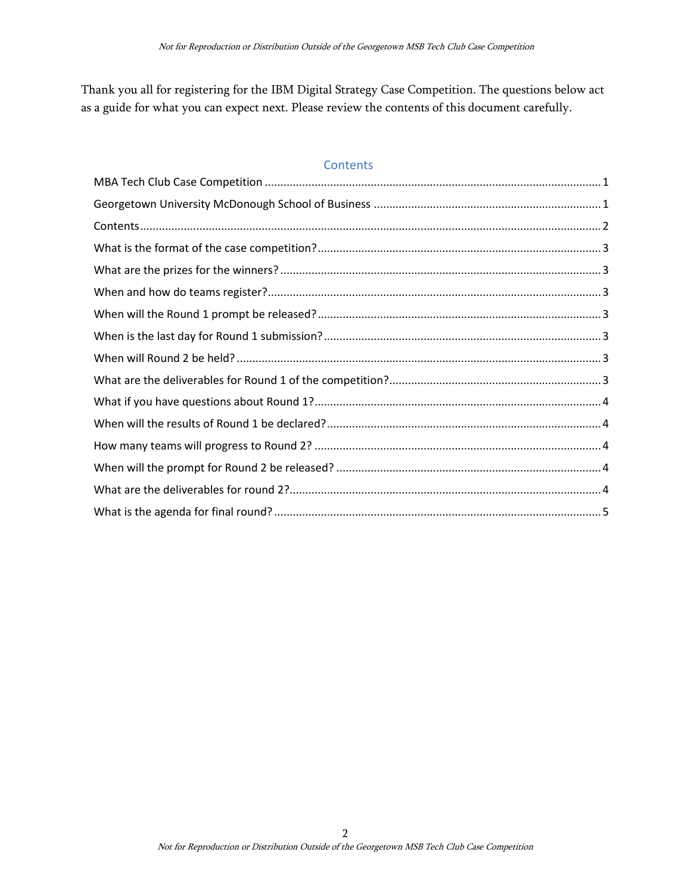Thank you all for registering for the IBM Digital Strategy Case Competition. The questions below act as a guide for what you can expect next. Please review the contents of this document carefully.

#### <span id="page-1-0"></span>**Contents**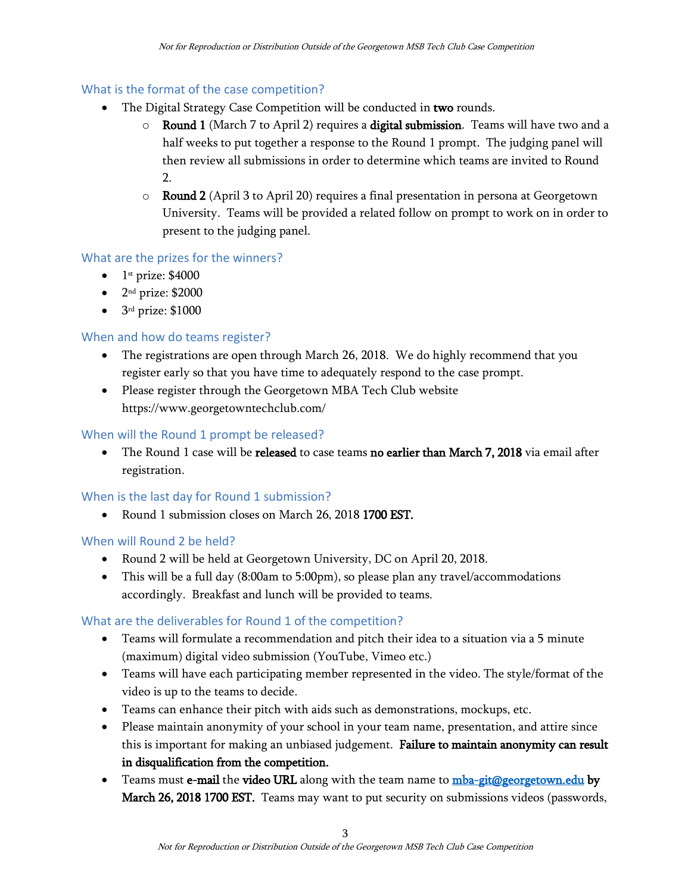# <span id="page-2-0"></span>What is the format of the case competition?

- The Digital Strategy Case Competition will be conducted in **two** rounds.
	- $\circ$  Round 1 (March 7 to April 2) requires a digital submission. Teams will have two and a half weeks to put together a response to the Round 1 prompt. The judging panel will then review all submissions in order to determine which teams are invited to Round  $\mathcal{D}$
	- $\circ$  Round 2 (April 3 to April 20) requires a final presentation in persona at Georgetown University. Teams will be provided a related follow on prompt to work on in order to present to the judging panel.

# <span id="page-2-1"></span>What are the prizes for the winners?

- $\bullet$  1<sup>st</sup> prize: \$4000
- $\bullet$  2<sup>nd</sup> prize: \$2000
- 3<sup>rd</sup> prize: \$1000

#### <span id="page-2-2"></span>When and how do teams register?

- The registrations are open through March 26, 2018. We do highly recommend that you register early so that you have time to adequately respond to the case prompt.
- Please register through the Georgetown MBA Tech Club website https://www.georgetowntechclub.com/

# <span id="page-2-3"></span>When will the Round 1 prompt be released?

The Round 1 case will be released to case teams no earlier than March 7, 2018 via email after registration.

#### <span id="page-2-4"></span>When is the last day for Round 1 submission?

• Round 1 submission closes on March 26, 2018 1700 EST.

#### <span id="page-2-5"></span>When will Round 2 be held?

- Round 2 will be held at Georgetown University, DC on April 20, 2018.
- This will be a full day (8:00am to 5:00pm), so please plan any travel/accommodations accordingly. Breakfast and lunch will be provided to teams.

#### <span id="page-2-6"></span>What are the deliverables for Round 1 of the competition?

- Teams will formulate a recommendation and pitch their idea to a situation via a 5 minute (maximum) digital video submission (YouTube, Vimeo etc.)
- Teams will have each participating member represented in the video. The style/format of the video is up to the teams to decide.
- Teams can enhance their pitch with aids such as demonstrations, mockups, etc.
- Please maintain anonymity of your school in your team name, presentation, and attire since this is important for making an unbiased judgement. Failure to maintain anonymity can result in disqualification from the competition.
- Teams must e-mail the video URL along with the team name t[o mba-git@georgetown.edu](mailto:mba-git@georgetown.edu) by March 26, 2018 1700 EST. Teams may want to put security on submissions videos (passwords,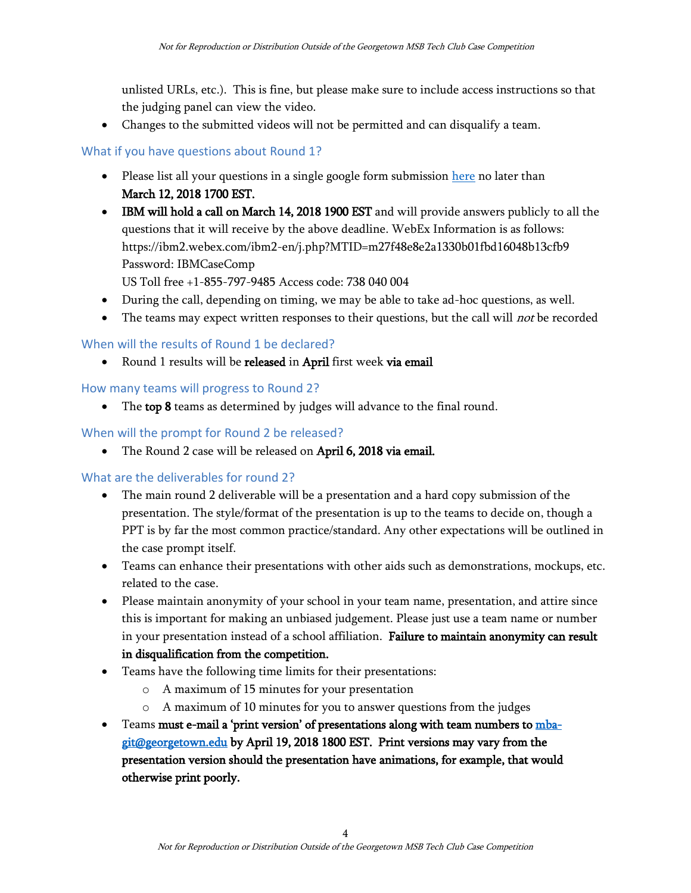unlisted URLs, etc.). This is fine, but please make sure to include access instructions so that the judging panel can view the video.

• Changes to the submitted videos will not be permitted and can disqualify a team.

# <span id="page-3-0"></span>What if you have questions about Round 1?

- Please list all your questions in a single google form submission [here](https://goo.gl/forms/wIvTKCSSsSFBEts23) no later than March 12, 2018 1700 EST.
- IBM will hold a call on March 14, 2018 1900 EST and will provide answers publicly to all the questions that it will receive by the above deadline. WebEx Information is as follows: https://ibm2.webex.com/ibm2-en/j.php?MTID=m27f48e8e2a1330b01fbd16048b13cfb9 Password: IBMCaseComp

US Toll free +1-855-797-9485 Access code: 738 040 004

- During the call, depending on timing, we may be able to take ad-hoc questions, as well.
- The teams may expect written responses to their questions, but the call will *not* be recorded

# <span id="page-3-1"></span>When will the results of Round 1 be declared?

• Round 1 results will be released in April first week via email

<span id="page-3-2"></span>How many teams will progress to Round 2?

• The top 8 teams as determined by judges will advance to the final round.

# <span id="page-3-3"></span>When will the prompt for Round 2 be released?

• The Round 2 case will be released on April 6, 2018 via email.

# <span id="page-3-4"></span>What are the deliverables for round 2?

- The main round 2 deliverable will be a presentation and a hard copy submission of the presentation. The style/format of the presentation is up to the teams to decide on, though a PPT is by far the most common practice/standard. Any other expectations will be outlined in the case prompt itself.
- Teams can enhance their presentations with other aids such as demonstrations, mockups, etc. related to the case.
- Please maintain anonymity of your school in your team name, presentation, and attire since this is important for making an unbiased judgement. Please just use a team name or number in your presentation instead of a school affiliation. Failure to maintain anonymity can result in disqualification from the competition.
- Teams have the following time limits for their presentations:
	- o A maximum of 15 minutes for your presentation
	- o A maximum of 10 minutes for you to answer questions from the judges
- Teams must e-mail a 'print version' of presentations along with team numbers t[o mba](mailto:mba-git@georgetown.edu)[git@georgetown.edu](mailto:mba-git@georgetown.edu) by April 19, 2018 1800 EST. Print versions may vary from the presentation version should the presentation have animations, for example, that would otherwise print poorly.